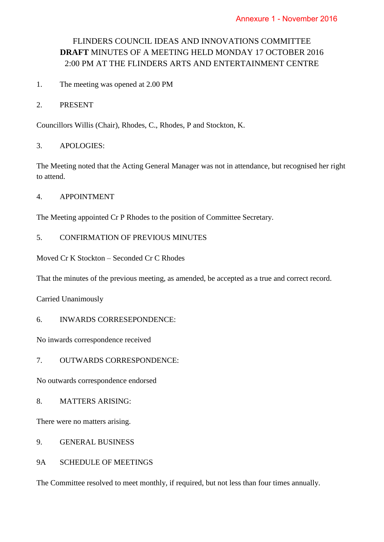# FLINDERS COUNCIL IDEAS AND INNOVATIONS COMMITTEE **DRAFT** MINUTES OF A MEETING HELD MONDAY 17 OCTOBER 2016 2:00 PM AT THE FLINDERS ARTS AND ENTERTAINMENT CENTRE

- 1. The meeting was opened at 2.00 PM
- 2. PRESENT

Councillors Willis (Chair), Rhodes, C., Rhodes, P and Stockton, K.

3. APOLOGIES:

The Meeting noted that the Acting General Manager was not in attendance, but recognised her right to attend.

4. APPOINTMENT

The Meeting appointed Cr P Rhodes to the position of Committee Secretary.

## 5. CONFIRMATION OF PREVIOUS MINUTES

Moved Cr K Stockton – Seconded Cr C Rhodes

That the minutes of the previous meeting, as amended, be accepted as a true and correct record.

Carried Unanimously

6. INWARDS CORRESEPONDENCE:

No inwards correspondence received

7. OUTWARDS CORRESPONDENCE:

No outwards correspondence endorsed

8. MATTERS ARISING:

There were no matters arising.

- 9. GENERAL BUSINESS
- 9A SCHEDULE OF MEETINGS

The Committee resolved to meet monthly, if required, but not less than four times annually.